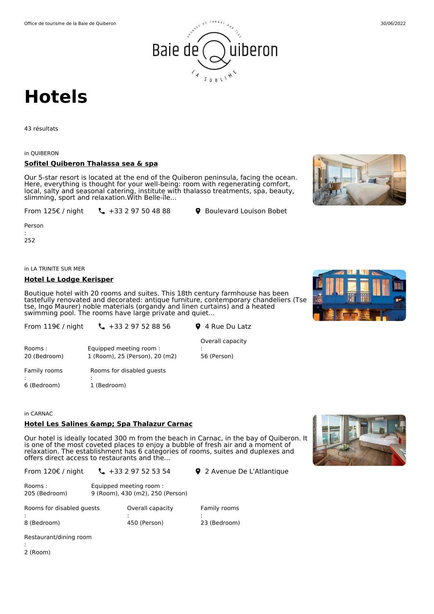

# **Hotels**

43 résultats

#### in QUIBERON

# **Sofitel Quiberon Thalassa sea & spa**

Our 5-star resort is located at the end of the Quiberon peninsula, facing the ocean. Here, everything is thought for your well-being: room with regenerating comfort, local, salty and seasonal catering, institute with thalasso treatments, spa, beauty, slimming, sport and relaxation.With Belle-île...

From 125€ / night

 $\leftarrow$  +33 2 97 50 48 88 <br> 9 Boulevard Louison Bobet

Person

: 252

in LA TRINITE SUR MER

#### **Hotel Le Lodge Kerisper**

Boutique hotel with 20 rooms and suites. This 18th century farmhouse has been tastefully renovated and decorated: antique furniture, contemporary chandeliers (Tse tse, Ingo Maurer) noble materials (organdy and linen curtains) and a heated swimming pool. The rooms have large private and quiet...

| From $119 \epsilon$ / night | $\frac{1}{2}$ +33 2 97 52 88 56                          | 9 4 Rue Du Latz                 |
|-----------------------------|----------------------------------------------------------|---------------------------------|
| Rooms:<br>20 (Bedroom)      | Equipped meeting room:<br>1 (Room), 25 (Person), 20 (m2) | Overall capacity<br>56 (Person) |
| Family rooms                | Rooms for disabled quests                                |                                 |

: 6 (Bedroom) : 1 (Bedroom)

#### in CARNAC

# **Hotel Les Salines & Spa Thalazur Carnac**

Our hotel is ideally located 300 m from the beach in Carnac, in the bay of Quiberon. It is one of the most coveted places to enjoy a bubble of fresh air and a moment of relaxation. The establishment has 6 categories of rooms, suites and duplexes and offers direct access to restaurants and the...

From 120€ / night  $\binom{1}{2}$  +33 2 97 52 53 54  $\binom{1}{2}$  2 Avenue De L'Atlantique

| Rooms:<br>205 (Bedroom)   | Equipped meeting room:<br>9 (Room), 430 (m2), 250 (Person) |              |
|---------------------------|------------------------------------------------------------|--------------|
| Rooms for disabled quests | Overall capacity                                           | Family rooms |
| 8 (Bedroom)               | 450 (Person)                                               | 23 (Bedroom) |

Restaurant/dining room

: 2 (Room)





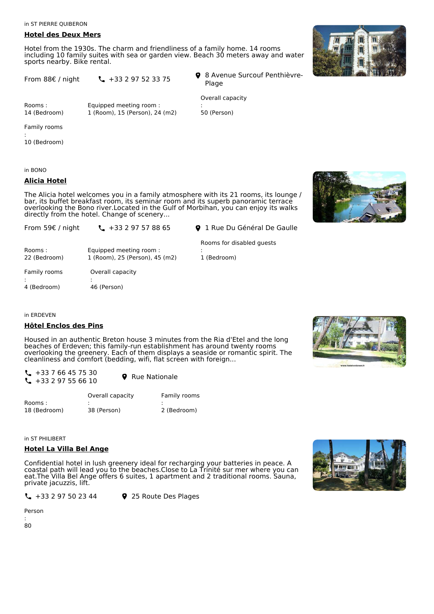in ST PIERRE QUIBERON

#### **Hotel des Deux Mers**

Hotel from the 1930s. The charm and friendliness of a family home. 14 rooms including 10 family suites with sea or garden view. Beach 30 meters away and water sports nearby. Bike rental.

|  | From 88€ / night | $\binom{1}{2}$ + 33 2 97 52 33 75 |  |  |  |
|--|------------------|-----------------------------------|--|--|--|
|  |                  |                                   |  |  |  |

8 Avenue Surcouf Penthièvre- Plage

Rooms : 14 (Bedroom)

Equipped meeting room : 1 (Room), 15 (Person), 24 (m2) Overall capacity : 50 (Person)

Family rooms

: 10 (Bedroom)

in BONO

# **Alicia Hotel**

The Alicia hotel welcomes you in a family atmosphere with its 21 rooms, its lounge / bar, its buffet breakfast room, its seminar room and its superb panoramic terrace overlooking the Bono river.Located in the Gulf of Morbihan, you can enjoy its walks directly from the hotel. Change of scenery...

From 59€ / night

**1** +33 2 97 57 88 65 **9** 1 Rue Du Général De Gaulle

Rooms for disabled guests

:

1 (Bedroom)

Rooms : 22 (Bedroom) Equipped meeting room : 1 (Room), 25 (Person), 45 (m2) Family rooms : 4 (Bedroom) Overall capacity : 46 (Person)

in ERDEVEN

# **Hôtel Enclos des Pins**

Housed in an authentic Breton house 3 minutes from the Ria d'Etel and the long beaches of Erdeven; this family-run establishment has around twenty rooms overlooking the greenery. Each of them displays a seaside or romantic spirit. The cleanliness and comfort (bedding, wifi, flat screen with foreign...

 $\leftarrow$  +33 7 66 45 75 30  $\begin{array}{ccc} \begin{array}{ccc} \diagup & +33 & 7 & 00 & 43 & 73 & 30 \\ \diagdown & +33 & 2 & 97 & 55 & 66 & 10 \end{array} & \bigodot & \mathbf{Q} & \text{Rue Nationale} \end{array}$ 

|              | Overall capacity | Family rooms |
|--------------|------------------|--------------|
| Rooms:       |                  |              |
| 18 (Bedroom) | 38 (Person)      | 2 (Bedroom)  |

in ST PHILIBERT

# **Hotel La Villa Bel Ange**

Confidential hotel in lush greenery ideal for recharging your batteries in peace. A coastal path will lead you to the beaches.Close to La Trinité sur mer where you can eat.The Villa Bel Ange offers 6 suites, 1 apartment and 2 traditional rooms. Sauna, private jacuzzis, lift.

 $\binom{1}{2}$  +33 2 97 50 23 44  $\binom{1}{2}$  25 Route Des Plages

Person







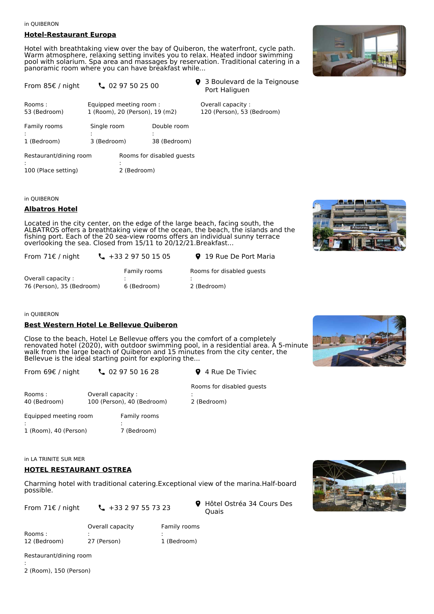#### in QUIBERON

# **Hotel-Restaurant Europa**

Hotel with breathtaking view over the bay of Quiberon, the waterfront, cycle path.<br>Warm atmosphere, relaxing setting invites you to relax. Heated indoor swimming pool with solarium. Spa area and massages by reservation. Traditional catering in a panoramic room where you can have breakfast while...





| HOTEL    |
|----------|
|          |
| Albatros |
|          |
|          |

# in QUIBERON

#### **Albatros Hotel**

Located in the city center, on the edge of the large beach, facing south, the ALBATROS offers a breathtaking view of the ocean, the beach, the islands and the fishing port. Each of the 20 sea-view rooms offers an individual sunny terrace overlooking the sea. Closed from 15/11 to 20/12/21.Breakfast...

| From $71 \epsilon$ / night | $\frac{1}{2}$ +33 2 97 50 15 05 | <b>9</b> 19 Rue De Port Maria |
|----------------------------|---------------------------------|-------------------------------|
|                            | Family rooms                    | Rooms for disabled quests     |
| Overall capacity:          |                                 |                               |
| 76 (Person), 35 (Bedroom)  | 6 (Bedroom)                     | 2 (Bedroom)                   |

#### in QUIBERON

#### **Best Western Hotel Le Bellevue Quiberon**

Close to the beach, Hotel Le Bellevue offers you the comfort of a completely renovated hotel (2020), with outdoor swimming pool, in a residential area. A 5-minute walk from the large beach of Quiberon and 15 minutes from the city center, the Bellevue is the ideal starting point for exploring the...

:

2 (Bedroom)

From 69€ / night

 $\binom{1}{2}$  02 97 50 16 28 **9** 4 Rue De Tiviec

| Rooms :<br>40 (Bedroom)         | Overall capacity: | 100 (Person), 40 (Bedroom) |
|---------------------------------|-------------------|----------------------------|
| Equipped meeting room           |                   | Family rooms               |
| ٠<br>٠<br>1 (Room), 40 (Person) |                   | 7 (Bedroom)                |

Rooms for disabled guests



in LA TRINITE SUR MER

# **HOTEL RESTAURANT OSTREA**

Charming hotel with traditional catering.Exceptional view of the marina.Half-board possible.

From 71€ / night  $\frac{1}{2}$  +33 2 97 55 73 23

Rooms : 12 (Bedroom) Overall capacity : 27 (Person) Family rooms : 1 (Bedroom)

Restaurant/dining room

: 2 (Room), 150 (Person)



| ● Hôtel Ostréa 34 Cours Des |
|-----------------------------|
| <b>Ouais</b>                |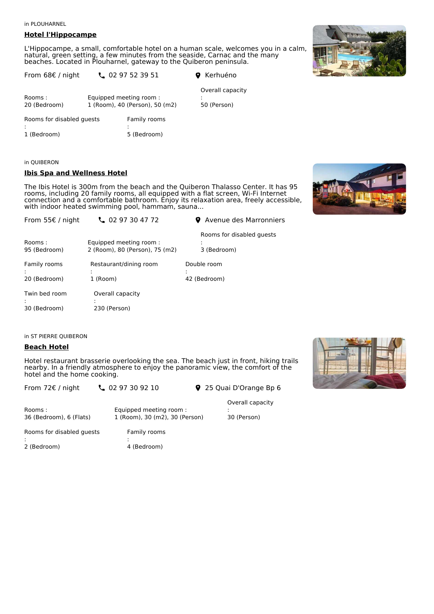in PLOUHARNEL

# **Hotel l'Hippocampe**

L'Hippocampe, a small, comfortable hotel on a human scale, welcomes you in a calm, natural, green setting, a few minutes from the seaside, Carnac and the many beaches. Located in Plouharnel, gateway to the Quiberon peninsula.

| From $68 \in \ell$ night  | $\frac{1}{2}$ 02 97 52 39 51                             | <b>Q</b> Kerhuéno               |
|---------------------------|----------------------------------------------------------|---------------------------------|
| Rooms:<br>20 (Bedroom)    | Equipped meeting room:<br>1 (Room), 40 (Person), 50 (m2) | Overall capacity<br>50 (Person) |
| Rooms for disabled quests | Family rooms<br>٠                                        |                                 |

1 (Bedroom) 5 (Bedroom)

# in QUIBERON

#### **Ibis Spa and Wellness Hotel**

The Ibis Hotel is 300m from the beach and the Quiberon Thalasso Center. It has 95 rooms, including 20 family rooms, all equipped with a flat screen, Wi-Fi Internet connection and a comfortable bathroom. Enjoy its relaxation area, freely accessible, with indoor heated swimming pool, hammam, sauna...



| From 55€ / night              | $\frac{1}{2}$ 02 97 30 47 72                             | <b>9</b> Avenue des Marronniers          |
|-------------------------------|----------------------------------------------------------|------------------------------------------|
| Rooms:<br>95 (Bedroom)        | Equipped meeting room:<br>2 (Room), 80 (Person), 75 (m2) | Rooms for disabled quests<br>3 (Bedroom) |
| Family rooms                  | Restaurant/dining room                                   | Double room                              |
| 20 (Bedroom)                  | 1 (Room)                                                 | 42 (Bedroom)                             |
| Twin bed room<br>30 (Bedroom) | Overall capacity<br>٠<br>٠<br>230 (Person)               |                                          |

in ST PIERRE QUIBERON

# **Beach Hotel**

Hotel restaurant brasserie overlooking the sea. The beach just in front, hiking trails nearby. In a friendly atmosphere to enjoy the panoramic view, the comfort of the hotel and the home cooking.

| notel and the nome cooking.        |                                                          |                                 |  |
|------------------------------------|----------------------------------------------------------|---------------------------------|--|
| From $72 \epsilon$ / night         | 20297309210                                              | 9 25 Quai D'Orange Bp 6         |  |
| Rooms :<br>36 (Bedroom), 6 (Flats) | Equipped meeting room:<br>1 (Room), 30 (m2), 30 (Person) | Overall capacity<br>30 (Person) |  |
| Rooms for disabled quests          | Family rooms                                             |                                 |  |

Rooms for : 2 (Bedroom)

4 (Bedroom)



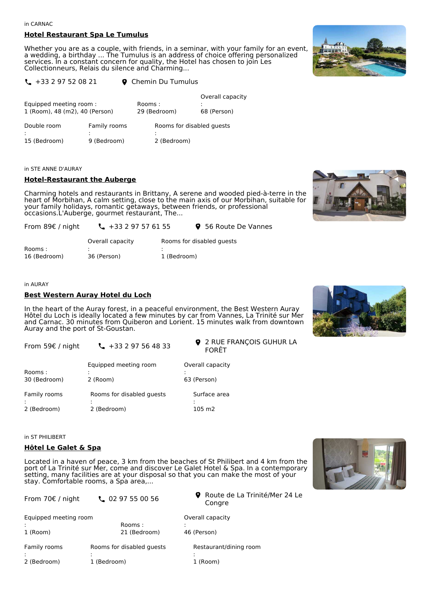#### in CARNAC

#### **Hotel Restaurant Spa Le Tumulus**

Whether you are as a couple, with friends, in a seminar, with your family for an event, a wedding, a birthday ... The Tumulus is an address of choice offering personalized services. In a constant concern for quality, the Hotel has chosen to join Les Collectionneurs, Relais du silence and Charming...



| $\binom{1}{2}$ +33 2 97 52 08 21 | <b>Q</b> Chemin Du Tumulus |
|----------------------------------|----------------------------|
|----------------------------------|----------------------------|

| Equipped meeting room:<br>1 (Room), 48 (m2), 40 (Person) |                             | Rooms:<br>29 (Bedroom) |             | Overall capacity<br>68 (Person) |
|----------------------------------------------------------|-----------------------------|------------------------|-------------|---------------------------------|
| Double room<br>15 (Bedroom)                              | Family rooms<br>9 (Bedroom) |                        | 2 (Bedroom) | Rooms for disabled quests       |

#### in STE ANNE D'AURAY

#### **Hotel-Restaurant the Auberge**

Charming hotels and restaurants in Brittany, A serene and wooded pied-à-terre in the heart of Morbihan, A calm setting, close to the main axis of our Morbihan, suitable for your family holidays, romantic getaways, between friends, or professional occasions.L'Auberge, gourmet restaurant, The...



| From 89 $\epsilon$ / night | $\frac{1}{2}$ + 33 2 97 57 61 55 | 9 56 Route De Vannes      |  |
|----------------------------|----------------------------------|---------------------------|--|
|                            | Overall capacity                 | Rooms for disabled quests |  |
| Rooms:                     |                                  |                           |  |
| 16 (Bedroom)               | 36 (Person)                      | 1 (Bedroom)               |  |

#### in AURAY

#### **Best Western Auray Hotel du Loch**

In the heart of the Auray forest, in a peaceful environment, the Best Western Auray Hôtel du Loch is ideally located a few minutes by car from Vannes, La Trinité sur Mer and Carnac. 30 minutes from Quiberon and Lorient. 15 minutes walk from downtown Auray and the port of St-Goustan.

| From 59€ / night | $\frac{1}{2}$ +33 2 97 56 48 33 |
|------------------|---------------------------------|
|                  |                                 |

**9** 2 RUE FRANÇOIS GUHUR LA FORÊT

| Rooms :<br>30 (Bedroom) | Equipped meeting room<br>2 (Room) | Overall capacity<br>63 (Person) |
|-------------------------|-----------------------------------|---------------------------------|
| Family rooms            | Rooms for disabled quests         | Surface area                    |
| 2 (Bedroom)             | 2 (Bedroom)                       | 105 m2                          |

in ST PHILIBERT

#### **Hôtel Le Galet & Spa**

Located in a haven of peace, 3 km from the beaches of St Philibert and 4 km from the port of La Trinité sur Mer, come and discover Le Galet Hotel & Spa. In a contemporary setting, many facilities are at your disposal so that you can make the most of your stay. Comfortable rooms, a Spa area,...



| From $70 \in /$ night | $\frac{1}{2}$ 02 97 55 00 56 | <b>9</b> Route de La Trinité/Mer 24 Le<br>Congre |
|-----------------------|------------------------------|--------------------------------------------------|
| Equipped meeting room | Rooms:                       | Overall capacity                                 |
| 1 (Room)              | 21 (Bedroom)                 | 46 (Person)                                      |
| Family rooms          | Rooms for disabled quests    | Restaurant/dining room                           |
| 2 (Bedroom)           | 1 (Bedroom)                  | 1 (Room)                                         |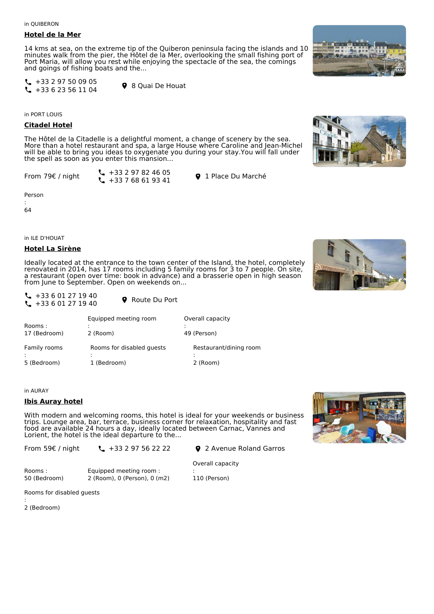in QUIBERON

#### **Hotel de la Mer**

14 kms at sea, on the extreme tip of the Quiberon peninsula facing the islands and 10 minutes walk from the pier, the Hôtel de la Mer, overlooking the small fishing port of Port Maria, will allow you rest while enjoying the spectacle of the sea, the comings and goings of fishing boats and the...

 $\leftarrow$  +33 2 97 50 09 05  $\begin{array}{ccc} \begin{array}{ccc} \diagup & +33 & 2 & 97 & 30 & 09 & 03 \\ \diagdown & +33 & 6 & 23 & 56 & 11 & 04 \end{array} & \bigodot \begin{array}{ccc} \bigcirc & 8 & \text{Quai De Houat} \end{array} \end{array}$ 

in PORT LOUIS

#### **Citadel Hotel**

The Hôtel de la Citadelle is a delightful moment, a change of scenery by the sea. More than a hotel restaurant and spa, a large House where Caroline and Jean-Michel will be able to bring you ideas to oxygenate you during your stay.You will fall under the spell as soon as you enter this mansion...

From 79€ / night

 $-133297824605$  $\begin{array}{ccc} \begin{array}{ccc} \diagup & +33 & 2 & 97 & 62 & 40 & 03 \\ \diagdown & +33 & 7 & 68 & 61 & 93 & 41 \end{array} \end{array}$  Q 1 Place Du Marché

Person

: 64

in ILE D'HOUAT

#### **Hotel La Sirène**

Ideally located at the entrance to the town center of the Island, the hotel, completely renovated in 2014, has 17 rooms including 5 family rooms for 3 to 7 people. On site, a restaurant (open over time: book in advance) and a brasserie open in high season from June to September. Open on weekends on...

| $\binom{1}{2}$ + 33 6 01 27 19 40 |                        |
|-----------------------------------|------------------------|
| $\binom{1}{2}$ + 33 6 01 27 19 40 | <b>Q</b> Route Du Port |

| Rooms:       | Equipped meeting room     | Overall capacity       |
|--------------|---------------------------|------------------------|
| 17 (Bedroom) | 2 (Room)                  | 49 (Person)            |
| Family rooms | Rooms for disabled quests | Restaurant/dining room |
| 5 (Bedroom)  | 1 (Bedroom)               | 2 (Room)               |

in AURAY

# **Ibis Auray hotel**

With modern and welcoming rooms, this hotel is ideal for your weekends or business trips. Lounge area, bar, terrace, business corner for relaxation, hospitality and fast food are available 24 hours a day, ideally located between Carnac, Vannes and Lorient, the hotel is the ideal departure to the...

From 59€ / night

 $\binom{1}{2}$  +33 2 97 56 22 22  $\binom{1}{2}$  2 Avenue Roland Garros

Rooms : 50 (Bedroom) Equipped meeting room : 2 (Room), 0 (Person), 0 (m2)

Rooms for disabled guests

: 2 (Bedroom)









: 110 (Person)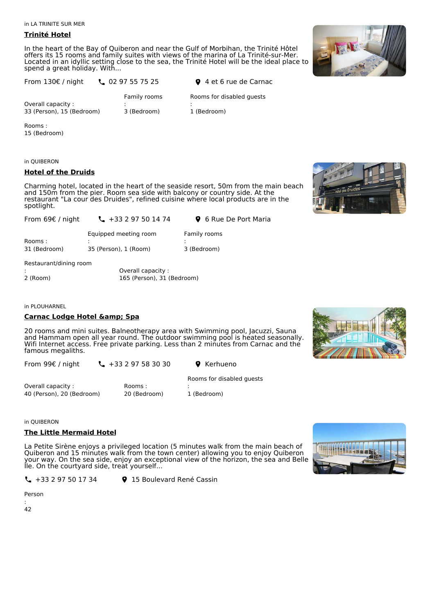in LA TRINITE SUR MER

# **Trinité Hotel**

In the heart of the Bay of Quiberon and near the Gulf of Morbihan, the Trinité Hôtel offers its 15 rooms and family suites with views of the marina of La Trinité-sur-Mer. Located in an idyllic setting close to the sea, the Trinité Hotel will be the ideal place to spend a great holiday. With...



| From $130 \epsilon$ / night                    | $\binom{1}{2}$ 02 97 55 75 25 | <b>Q</b> 4 et 6 rue de Carnac            |
|------------------------------------------------|-------------------------------|------------------------------------------|
| Overall capacity:<br>33 (Person), 15 (Bedroom) | Family rooms<br>3 (Bedroom)   | Rooms for disabled quests<br>1 (Bedroom) |
|                                                |                               |                                          |

Rooms : 15 (Bedroom)

in QUIBERON

# **Hotel of the Druids**

Charming hotel, located in the heart of the seaside resort, 50m from the main beach and 150m from the pier. Room sea side with balcony or country side. At the restaurant "La cour des Druides", refined cuisine where local products are in the spotlight.



| From 69 $\epsilon$ / night | $\frac{1}{2}$ +33 2 97 50 14 74 | <b>9</b> 6 Rue De Port Maria |
|----------------------------|---------------------------------|------------------------------|
| Rooms :                    | Equipped meeting room           | Family rooms                 |
| 31 (Bedroom)               | 35 (Person), 1 (Room)           | 3 (Bedroom)                  |

Restaurant/dining room

|          | Overall capacity :         |  |
|----------|----------------------------|--|
| 2 (Room) | 165 (Person), 31 (Bedroom) |  |

in PLOUHARNEL

# **Carnac Lodge Hotel & Spa**

20 rooms and mini suites. Balneotherapy area with Swimming pool, Jacuzzi, Sauna and Hammam open all year round. The outdoor swimming pool is heated seasonally.<br>Wifi Internet access. Free private parking. Less than 2 minutes from Carnac and the Wifi Internet access. Free private parking. Less than 2 minutes from Carnac and the famous megaliths.

From 99€ / night

 $\binom{4}{1}$  +33 2 97 58 30 30  $\binom{6}{1}$  Kerhueno

Overall capacity : 40 (Person), 20 (Bedroom)

Rooms : 20 (Bedroom)

 $\binom{1}{2}$  +33 2 97 50 17 34  $\binom{15}{2}$  Boulevard René Cassin

Rooms for disabled guests :

1 (Bedroom)

in QUIBERON

# **The Little Mermaid Hotel**

La Petite Sirène enjoys a privileged location (5 minutes walk from the main beach of Quiberon and 15 minutes walk from the town center) allowing you to enjoy Quiberon your way. On the sea side, enjoy an exceptional view of the horizon, the sea and Belle Ile. On the courtyard side, treat yourself...



Person

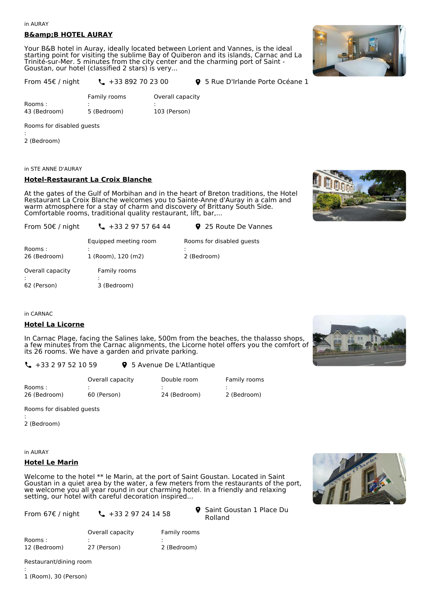#### in AURAY

# **B&B HOTEL AURAY**

Your B&B hotel in Auray, ideally located between Lorient and Vannes, is the ideal starting point for visiting the sublime Bay of Quiberon and its islands, Carnac and La Trinité-sur-Mer. 5 minutes from the city center and the charming port of Saint - Goustan, our hotel (classified 2 stars) is very...



| From $45f$ / night | $\binom{1}{4} + 33892$ |
|--------------------|------------------------|
|--------------------|------------------------|

70 23 00 **9** 5 Rue D'Irlande Porte Océane 1

|              | Family rooms | Overall capacity |
|--------------|--------------|------------------|
| Rooms:       |              |                  |
| 43 (Bedroom) | 5 (Bedroom)  | 103 (Person)     |

Rooms for disabled guests

: 2 (Bedroom)

in STE ANNE D'AURAY

#### **Hotel-Restaurant La Croix Blanche**

At the gates of the Gulf of Morbihan and in the heart of Breton traditions, the Hotel Restaurant La Croix Blanche welcomes you to Sainte-Anne d'Auray in a calm and warm atmosphere for a stay of charm and discovery of Brittany South Side. Comfortable rooms, traditional quality restaurant, lift, bar,...



| From 50 $\epsilon$ / night      | $\binom{1}{2}$ + 33 2 97 57 64 44           | 9 25 Route De Vannes                     |
|---------------------------------|---------------------------------------------|------------------------------------------|
| Rooms:<br>26 (Bedroom)          | Equipped meeting room<br>1 (Room), 120 (m2) | Rooms for disabled quests<br>2 (Bedroom) |
| Overall capacity<br>62 (Person) | Family rooms<br>3 (Bedroom)                 |                                          |

in CARNAC

#### **Hotel La Licorne**

In Carnac Plage, facing the Salines lake, 500m from the beaches, the thalasso shops, a few minutes from the Carnac alignments, the Licorne hotel offers you the comfort of its 26 rooms. We have a garden and private parking.



 $\binom{1}{2}$  +33 2 97 52 10 59  $\binom{1}{2}$  5 Avenue De L'Atlantique

|              | Overall capacity | Double room  | Family rooms |
|--------------|------------------|--------------|--------------|
| Rooms :      |                  |              |              |
| 26 (Bedroom) | 60 (Person)      | 24 (Bedroom) | 2 (Bedroom)  |

Rooms for disabled guests

: 2 (Bedroom)

in AURAY

#### **Hotel Le Marin**

Welcome to the hotel \*\* le Marin, at the port of Saint Goustan. Located in Saint Goustan in a quiet area by the water, a few meters from the restaurants of the port, we welcome you all year round in our charming hotel. In a friendly and relaxing setting, our hotel with careful decoration inspired...

From 67€ / night

 $-133297241458$ 

Rolland  $\bullet$ 

Rooms : 12 (Bedroom) Overall capacity : 27 (Person) Family rooms : 2 (Bedroom)

Restaurant/dining room

1 (Room), 30 (Person)

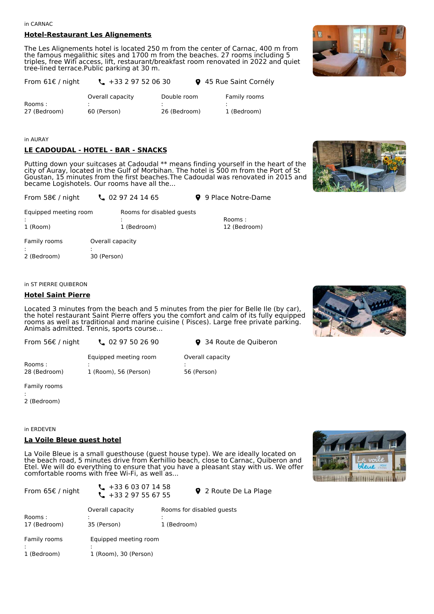#### in CARNAC

#### **Hotel-Restaurant Les Alignements**

The Les Alignements hotel is located 250 m from the center of Carnac, 400 m from the famous megalithic sites and 1700 m from the beaches. 27 rooms including 5 triples, free Wifi access, lift, restaurant/breakfast room renovated in 2022 and quiet tree-lined terrace.Public parking at 30 m.



in AURAY

# **LE CADOUDAL - HOTEL - BAR - SNACKS**

Putting down your suitcases at Cadoudal \*\* means finding yourself in the heart of the city of Auray, located in the Gulf of Morbihan. The hotel is 500 m from the Port of St Goustan, 15 minutes from the first beaches.The Cadoudal was renovated in 2015 and became Logishotels. Our rooms have all the...



| From 58 $\epsilon$ / night        | $\frac{1}{2}$ 02 97 24 14 65             | 9 9 Place Notre-Dame    |
|-----------------------------------|------------------------------------------|-------------------------|
| Equipped meeting room<br>1 (Room) | Rooms for disabled quests<br>1 (Bedroom) | Rooms :<br>12 (Bedroom) |
| Family rooms                      | Overall capacity                         |                         |

: 2 (Bedroom) : 30 (Person)

#### in ST PIERRE QUIBERON

#### **Hotel Saint Pierre**

Located 3 minutes from the beach and 5 minutes from the pier for Belle Ile (by car), the hotel restaurant Saint Pierre offers you the comfort and calm of its fully equipped rooms as well as traditional and marine cuisine ( Pisces). Large free private parking. Animals admitted. Tennis, sports course...

Equipped meeting room

0 **9** 34 Route de Ouiberon

Overall capacity

56 (Person)

:

Rooms : 28 (Bedroom) : 1 (Room), 56 (Person)

Family rooms

: 2 (Bedroom)

in ERDEVEN

#### **La Voile Bleue guest hotel**

La Voile Bleue is a small guesthouse (guest house type). We are ideally located on the beach road, 5 minutes drive from Kerhillio beach, close to Carnac, Quiberon and Etel. We will do everything to ensure that you have a pleasant stay with us. We offer comfortable rooms with free Wi-Fi, as well as...



| From 65€ / night            | $\binom{1}{2}$ + 33 6 03 07 14 58<br>$\frac{1}{2}$ +33 2 97 55 67 55 |                                          | 9 2 Route De La Plage |
|-----------------------------|----------------------------------------------------------------------|------------------------------------------|-----------------------|
| Rooms :<br>17 (Bedroom)     | Overall capacity<br>35 (Person)                                      | Rooms for disabled quests<br>1 (Bedroom) |                       |
| Family rooms<br>1 (Bedroom) | Equipped meeting room<br>1 (Room), 30 (Person)                       |                                          |                       |



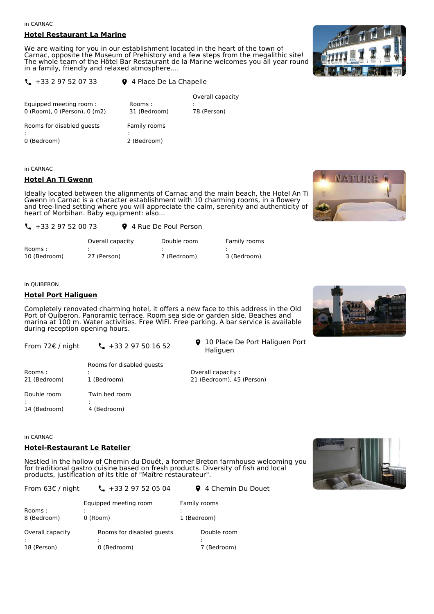in CARNAC

#### **Hotel Restaurant La Marine**

We are waiting for you in our establishment located in the heart of the town of Carnac, opposite the Museum of Prehistory and a few steps from the megalithic site! The whole team of the Hôtel Bar Restaurant de la Marine welcomes you all year round in a family, friendly and relaxed atmosphere....



 $\binom{4}{4}$  +33 2 97 52 07 33  $\binom{4}{4}$  Place De La Chapelle

| Equipped meeting room:<br>0 (Room), 0 (Person), 0 (m2) | Rooms:<br>31 (Bedroom) | Overall capacity<br>78 (Person) |
|--------------------------------------------------------|------------------------|---------------------------------|
| Rooms for disabled quests                              | Family rooms           |                                 |
| 0 (Bedroom)                                            | 2 (Bedroom)            |                                 |

in CARNAC

#### **Hotel An Ti Gwenn**

Ideally located between the alignments of Carnac and the main beach, the Hotel An Ti Gwenn in Carnac is a character establishment with 10 charming rooms, in a flowery and tree-lined setting where you will appreciate the calm, serenity and authenticity of heart of Morbihan. Baby equipment: also...

| $\binom{1}{2}$ + 33 2 97 52 00 73 |                  | 9 4 Rue De Poul Person |              |  |
|-----------------------------------|------------------|------------------------|--------------|--|
|                                   | Overall capacity | Double room            | Family rooms |  |
| Rooms:                            |                  |                        |              |  |
| 10 (Bedroom)                      | 27 (Person)      | 7 (Bedroom)            | 3 (Bedroom)  |  |

#### in QUIBERON

#### **Hotel Port Haliguen**

Completely renovated charming hotel, it offers a new face to this address in the Old Port of Quiberon. Panoramic terrace. Room sea side or garden side. Beaches and marina at 100 m. Water activities. Free WIFI. Free parking. A bar service is available during reception opening hours.

From 72€ / night  $\binom{1}{2}$  +33 2 97 50 16 52 10 Place De Port Haliguen Port Haliguen

|              | Rooms for disabled quests |                           |
|--------------|---------------------------|---------------------------|
| Rooms:       |                           | Overall capacity :        |
| 21 (Bedroom) | 1 (Bedroom)               | 21 (Bedroom), 45 (Person) |
| Double room  | Twin bed room             |                           |
|              |                           |                           |
| 14 (Bedroom) | 4 (Bedroom)               |                           |

in CARNAC

# **Hotel-Restaurant Le Ratelier**

Nestled in the hollow of Chemin du Douët, a former Breton farmhouse welcoming you for traditional gastro cuisine based on fresh products. Diversity of fish and local products, justification of its title of "Maître restaurateur".







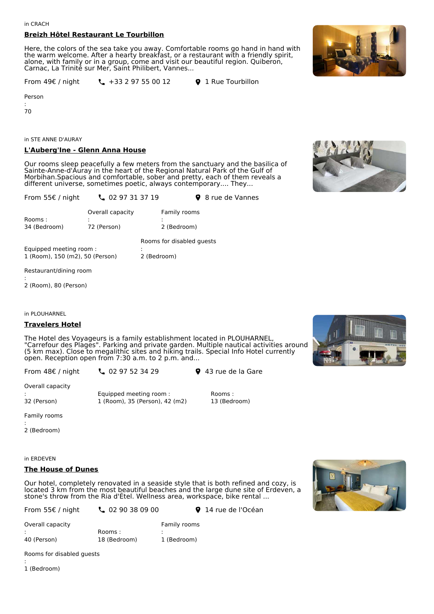# **Breizh Hôtel Restaurant Le Tourbillon**

Here, the colors of the sea take you away. Comfortable rooms go hand in hand with the warm welcome. After a hearty breakfast, or a restaurant with a friendly spirit, alone, with family or in a group, come and visit our beautiful region. Quiberon, Carnac, La Trinité sur Mer, Saint Philibert, Vannes...

From 49€ / night  $\binom{1}{2}$  +33 2 97 55 00 12  $\binom{1}{2}$  Rue Tourbillon

Person

:

70

in STE ANNE D'AURAY

# **L'Auberg'Ine - Glenn Anna House**

Our rooms sleep peacefully a few meters from the sanctuary and the basilica of Sainte-Anne-d'Auray in the heart of the Regional Natural Park of the Gulf of Morbihan.Spacious and comfortable, sober and pretty, each of them reveals a different universe, sometimes poetic, always contemporary.... They...

2 (Bedroom)



| From 55 $\epsilon$ / night | $\binom{1}{2}$ 02 97 31 37 19   |                                      |                             | 9 8 rue de Vannes |
|----------------------------|---------------------------------|--------------------------------------|-----------------------------|-------------------|
| Rooms:<br>34 (Bedroom)     | Overall capacity<br>72 (Person) |                                      | Family rooms<br>2 (Bedroom) |                   |
| Equipped meeting room:     |                                 | Rooms for disabled quests<br>$\cdot$ |                             |                   |

Equipped meeting room : 1 (Room), 150 (m2), 50 (Person)

Restaurant/dining room

: 2 (Room), 80 (Person)

in PLOUHARNEL

#### **Travelers Hotel**

The Hotel des Voyageurs is a family establishment located in PLOUHARNEL, "Carrefour des Plages". Parking and private garden. Multiple nautical activities around (5 km max). Close to megalithic sites and hiking trails. Special Info Hotel currently open. Reception open from 7:30 a.m. to 2 p.m. and...

From 48€ / night

Equipped meeting room : 1 (Room), 35 (Person), 42 (m2)

**43** rue de la Gare **9** 43 rue de la Gare

Rooms : 13 (Bedroom)

Overall capacity

: 32 (Person)

Family rooms

: 2 (Bedroom)

in ERDEVEN

# **The House of Dunes**

Our hotel, completely renovated in a seaside style that is both refined and cozy, is located 3 km from the most beautiful beaches and the large dune site of Erdeven, a stone's throw from the Ria d'Étel. Wellness area, workspace, bike rental ...

From 55€ / night **4 02 90 38 09 00 9 14 rue de l'Océan** 



| Overall capacity |              | Family rooms |
|------------------|--------------|--------------|
|                  | Rooms :      |              |
| 40 (Person)      | 18 (Bedroom) | 1 (Bedroom)  |

Rooms for disabled guests

1 (Bedroom)